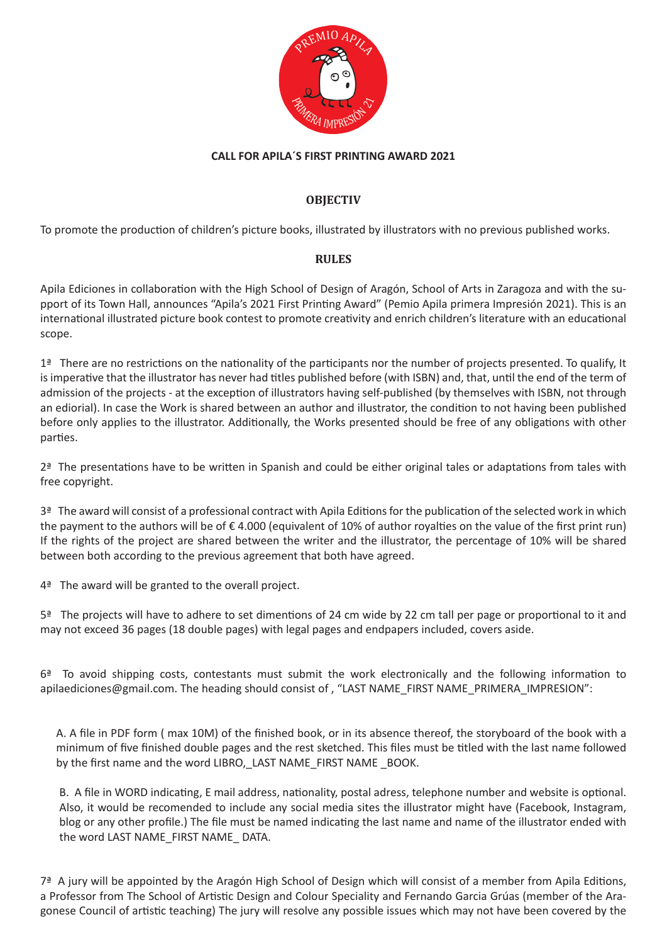

## **CALL FOR APILA´S FIRST PRINTING AWARD 2021**

## **OBJECTIV**

To promote the production of children's picture books, illustrated by illustrators with no previous published works.

## **RULES**

Apila Ediciones in collaboration with the High School of Design of Aragón, School of Arts in Zaragoza and with the support of its Town Hall, announces "Apila's 2021 First Printing Award" (Pemio Apila primera Impresión 2021). This is an international illustrated picture book contest to promote creativity and enrich children's literature with an educational scope.

 $1<sup>2</sup>$  There are no restrictions on the nationality of the participants nor the number of projects presented. To qualify, It is imperative that the illustrator has never had titles published before (with ISBN) and, that, until the end of the term of admission of the projects - at the exception of illustrators having self-published (by themselves with ISBN, not through an ediorial). In case the Work is shared between an author and illustrator, the condition to not having been published before only applies to the illustrator. Additionally, the Works presented should be free of any obligations with other parties.

 $2<sup>a</sup>$  The presentations have to be written in Spanish and could be either original tales or adaptations from tales with free copyright.

 $3<sup>3</sup>$  The award will consist of a professional contract with Apila Editions for the publication of the selected work in which the payment to the authors will be of € 4.000 (equivalent of 10% of author royalties on the value of the first print run) If the rights of the project are shared between the writer and the illustrator, the percentage of 10% will be shared between both according to the previous agreement that both have agreed.

4ª The award will be granted to the overall project.

5ª The projects will have to adhere to set dimentions of 24 cm wide by 22 cm tall per page or proportional to it and may not exceed 36 pages (18 double pages) with legal pages and endpapers included, covers aside.

6ª To avoid shipping costs, contestants must submit the work electronically and the following information to apilaediciones@gmail.com. The heading should consist of , "LAST NAME\_FIRST NAME\_PRIMERA\_IMPRESION":

A. A file in PDF form ( max 10M) of the finished book, or in its absence thereof, the storyboard of the book with a minimum of five finished double pages and the rest sketched. This files must be titled with the last name followed by the first name and the word LIBRO,\_LAST NAME\_FIRST NAME \_BOOK.

B. A file in WORD indicating, E mail address, nationality, postal adress, telephone number and website is optional. Also, it would be recomended to include any social media sites the illustrator might have (Facebook, Instagram, blog or any other profile.) The file must be named indicating the last name and name of the illustrator ended with the word LAST NAME\_FIRST NAME\_ DATA.

7ª A jury will be appointed by the Aragón High School of Design which will consist of a member from Apila Editions, a Professor from The School of Artistic Design and Colour Speciality and Fernando Garcia Grúas (member of the Aragonese Council of artistic teaching) The jury will resolve any possible issues which may not have been covered by the